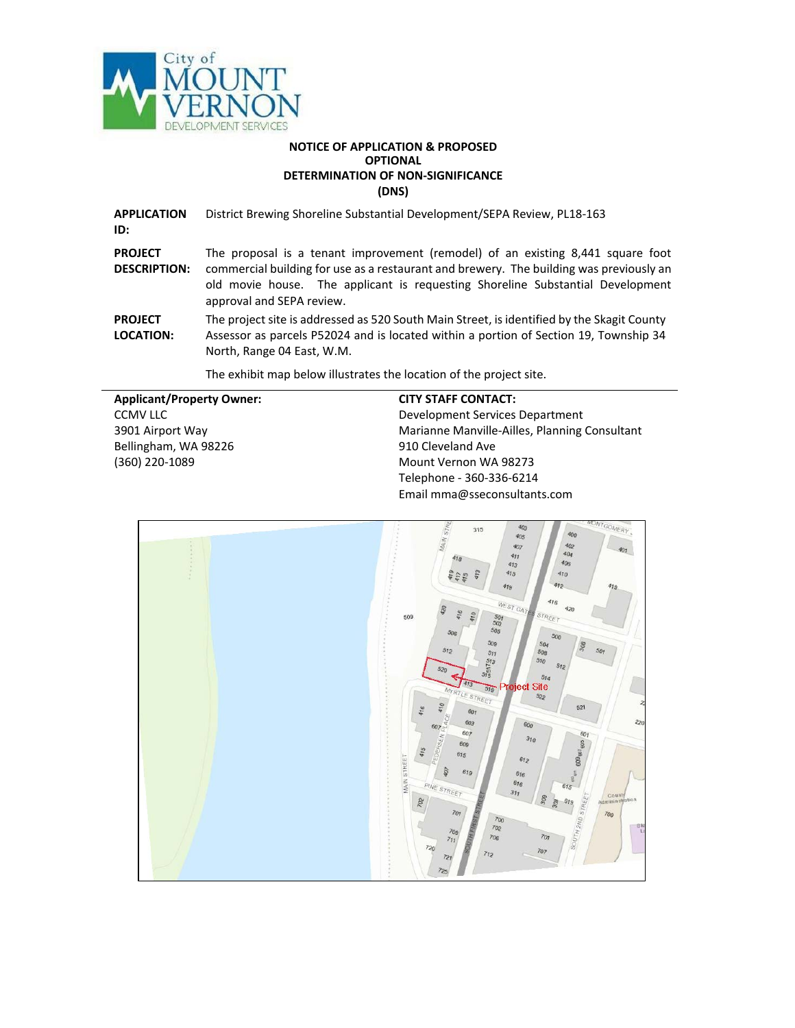

### **NOTICE OF APPLICATION & PROPOSED OPTIONAL DETERMINATION OF NON-SIGNIFICANCE (DNS)**

**APPLICATION ID:** District Brewing Shoreline Substantial Development/SEPA Review, PL18-163 **PROJECT DESCRIPTION:** The proposal is a tenant improvement (remodel) of an existing 8,441 square foot commercial building for use as a restaurant and brewery. The building was previously an old movie house. The applicant is requesting Shoreline Substantial Development approval and SEPA review. **PROJECT LOCATION:** The project site is addressed as 520 South Main Street, is identified by the Skagit County Assessor as parcels P52024 and is located within a portion of Section 19, Township 34 North, Range 04 East, W.M.

The exhibit map below illustrates the location of the project site.

| <b>Applicant/Property Owner:</b> | <b>CITY STAFF CONTACT:</b>                    |
|----------------------------------|-----------------------------------------------|
| CCMV LLC                         | Development Services Department               |
| 3901 Airport Way                 | Marianne Manville-Ailles, Planning Consultant |
| Bellingham, WA 98226             | 910 Cleveland Ave                             |
| (360) 220-1089                   | Mount Vernon WA 98273                         |
|                                  | Telephone - 360-336-6214                      |
|                                  | Email mma@sseconsultants.com                  |

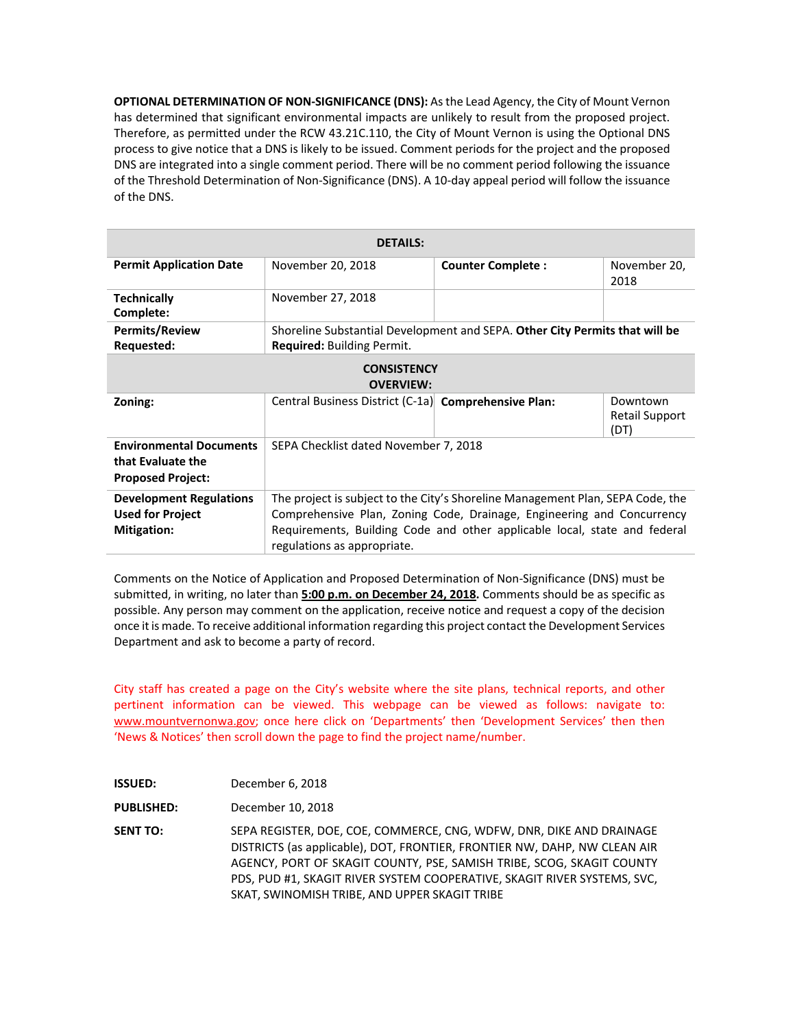**OPTIONAL DETERMINATION OF NON-SIGNIFICANCE (DNS):** As the Lead Agency, the City of Mount Vernon has determined that significant environmental impacts are unlikely to result from the proposed project. Therefore, as permitted under the RCW 43.21C.110, the City of Mount Vernon is using the Optional DNS process to give notice that a DNS is likely to be issued. Comment periods for the project and the proposed DNS are integrated into a single comment period. There will be no comment period following the issuance of the Threshold Determination of Non-Significance (DNS). A 10-day appeal period will follow the issuance of the DNS.

| <b>DETAILS:</b>                                                                 |                                                                                                                                                                                                                                                                      |                          |                                    |
|---------------------------------------------------------------------------------|----------------------------------------------------------------------------------------------------------------------------------------------------------------------------------------------------------------------------------------------------------------------|--------------------------|------------------------------------|
| <b>Permit Application Date</b>                                                  | November 20, 2018                                                                                                                                                                                                                                                    | <b>Counter Complete:</b> | November 20,<br>2018               |
| <b>Technically</b><br>Complete:                                                 | November 27, 2018                                                                                                                                                                                                                                                    |                          |                                    |
| <b>Permits/Review</b><br>Requested:                                             | Shoreline Substantial Development and SEPA. Other City Permits that will be<br>Required: Building Permit.                                                                                                                                                            |                          |                                    |
| <b>CONSISTENCY</b><br><b>OVERVIEW:</b>                                          |                                                                                                                                                                                                                                                                      |                          |                                    |
| Zoning:                                                                         | Central Business District (C-1a) Comprehensive Plan:                                                                                                                                                                                                                 |                          | Downtown<br>Retail Support<br>(DT) |
| <b>Environmental Documents</b><br>that Evaluate the<br><b>Proposed Project:</b> | SEPA Checklist dated November 7, 2018                                                                                                                                                                                                                                |                          |                                    |
| <b>Development Regulations</b><br><b>Used for Project</b><br><b>Mitigation:</b> | The project is subject to the City's Shoreline Management Plan, SEPA Code, the<br>Comprehensive Plan, Zoning Code, Drainage, Engineering and Concurrency<br>Requirements, Building Code and other applicable local, state and federal<br>regulations as appropriate. |                          |                                    |

Comments on the Notice of Application and Proposed Determination of Non-Significance (DNS) must be submitted, in writing, no later than **5:00 p.m. on December 24, 2018.** Comments should be as specific as possible. Any person may comment on the application, receive notice and request a copy of the decision once it is made. To receive additional information regarding this project contact the Development Services Department and ask to become a party of record.

City staff has created a page on the City's website where the site plans, technical reports, and other pertinent information can be viewed. This webpage can be viewed as follows: navigate to: [www.mountvernonwa.gov; o](http://www.mountvernonwa.gov/)nce here click on 'Departments' then 'Development Services' then then 'News & Notices' then scroll down the page to find the project name/number.

| <b>ISSUED:</b>    | December 6, 2018                                                                                                                                                                                                                                                                                                                                        |
|-------------------|---------------------------------------------------------------------------------------------------------------------------------------------------------------------------------------------------------------------------------------------------------------------------------------------------------------------------------------------------------|
| <b>PUBLISHED:</b> | December 10, 2018                                                                                                                                                                                                                                                                                                                                       |
| <b>SENT TO:</b>   | SEPA REGISTER, DOE, COE, COMMERCE, CNG, WDFW, DNR, DIKE AND DRAINAGE<br>DISTRICTS (as applicable), DOT, FRONTIER, FRONTIER NW, DAHP, NW CLEAN AIR<br>AGENCY, PORT OF SKAGIT COUNTY, PSE, SAMISH TRIBE, SCOG, SKAGIT COUNTY<br>PDS, PUD #1, SKAGIT RIVER SYSTEM COOPERATIVE, SKAGIT RIVER SYSTEMS, SVC.<br>SKAT, SWINOMISH TRIBE, AND UPPER SKAGIT TRIBE |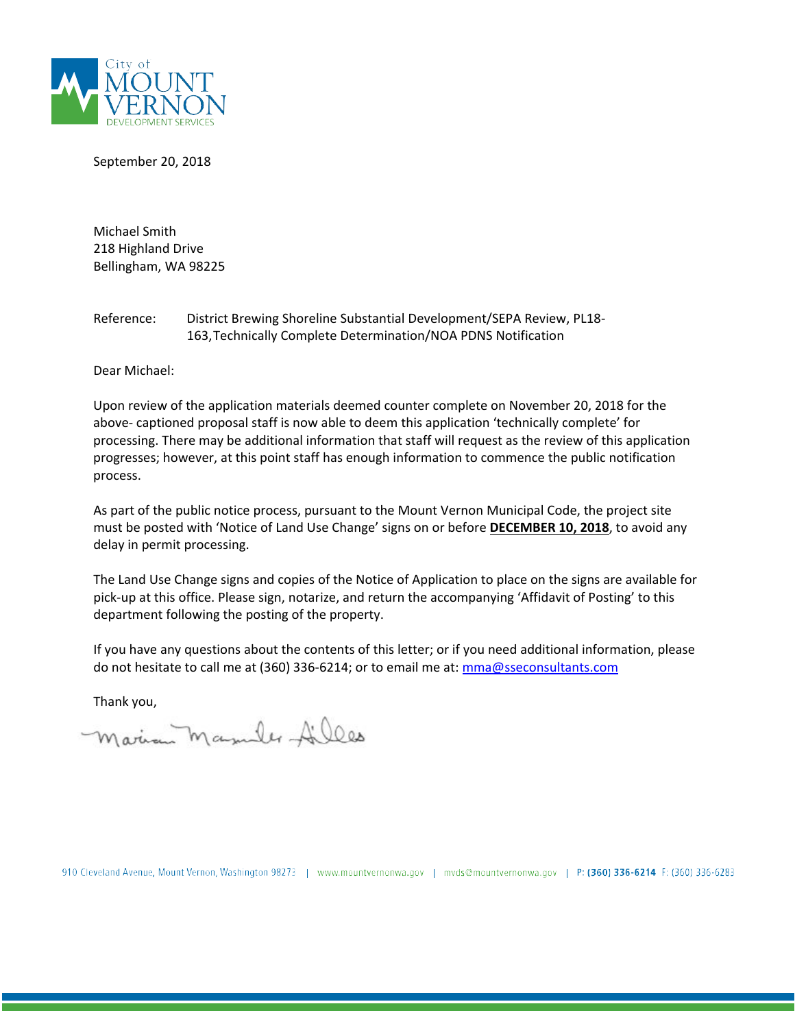

September 20, 2018

Michael Smith 218 Highland Drive Bellingham, WA 98225

### Reference: District Brewing Shoreline Substantial Development/SEPA Review, PL18- 163,Technically Complete Determination/NOA PDNS Notification

Dear Michael:

Upon review of the application materials deemed counter complete on November 20, 2018 for the above- captioned proposal staff is now able to deem this application 'technically complete' for processing. There may be additional information that staff will request as the review of this application progresses; however, at this point staff has enough information to commence the public notification process.

As part of the public notice process, pursuant to the Mount Vernon Municipal Code, the project site must be posted with 'Notice of Land Use Change' signs on or before **DECEMBER 10, 2018**, to avoid any delay in permit processing.

The Land Use Change signs and copies of the Notice of Application to place on the signs are available for pick-up at this office. Please sign, notarize, and return the accompanying 'Affidavit of Posting' to this department following the posting of the property.

If you have any questions about the contents of this letter; or if you need additional information, please do not hesitate to call me at (360) 336-6214; or to email me at: [mma@sseconsultants.com](mailto:mma@sseconsultants.com)

Thank you,

Marian Masules Ailles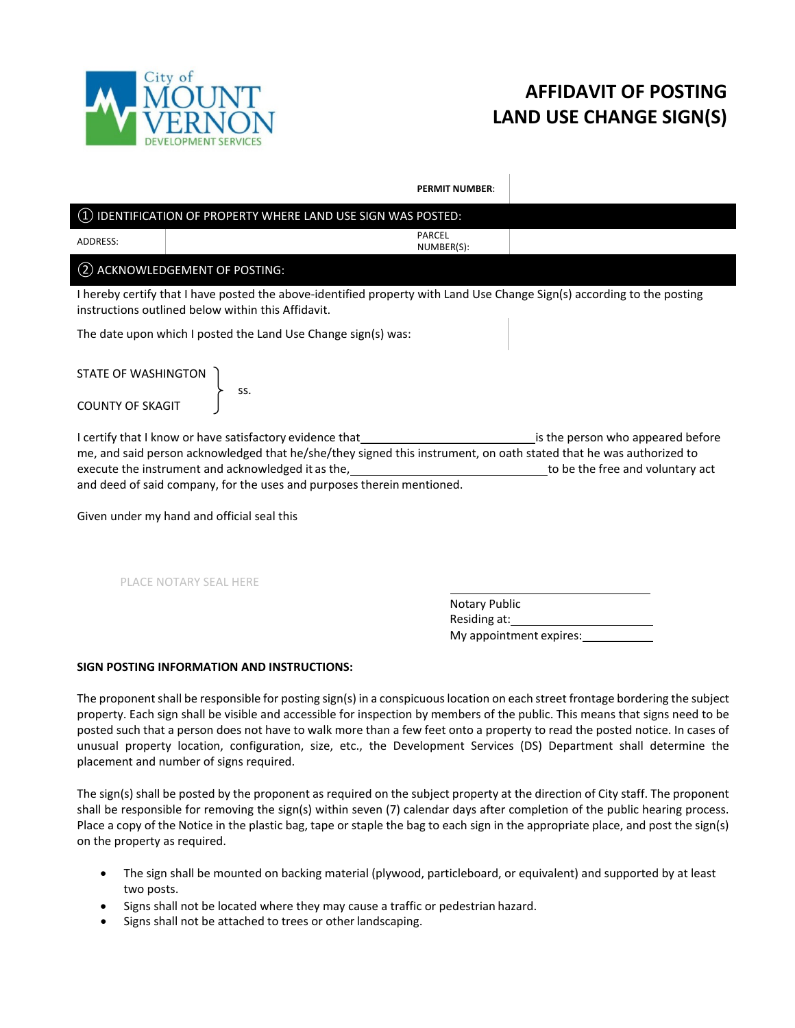

# **AFFIDAVIT OF POSTING LAND USE CHANGE SIGN(S)**

**PERMIT NUMBER**:

## ① IDENTIFICATION OF PROPERTY WHERE LAND USE SIGN WAS POSTED: ADDRESS: PARCEL NUMBER(S): ② ACKNOWLEDGEMENT OF POSTING: I hereby certify that I have posted the above-identified property with Land Use Change Sign(s) according to the posting instructions outlined below within this Affidavit. The date upon which I posted the Land Use Change sign(s) was: STATE OF WASHINGTON ss. COUNTY OF SKAGIT I certify that I know or have satisfactory evidence that is the person who appeared before me, and said person acknowledged that he/she/they signed this instrument, on oath stated that he was authorized to execute the instrument and acknowledged it as the, the state of the free and voluntary act and deed of said company, for the uses and purposes therein mentioned.

Given under my hand and official seal this

PLACE NOTARY SEAL HERE

Notary Public Residing at: My appointment expires:

### **SIGN POSTING INFORMATION AND INSTRUCTIONS:**

The proponent shall be responsible for posting sign(s) in a conspicuous location on each street frontage bordering the subject property. Each sign shall be visible and accessible for inspection by members of the public. This means that signs need to be posted such that a person does not have to walk more than a few feet onto a property to read the posted notice. In cases of unusual property location, configuration, size, etc., the Development Services (DS) Department shall determine the placement and number of signs required.

The sign(s) shall be posted by the proponent as required on the subject property at the direction of City staff. The proponent shall be responsible for removing the sign(s) within seven (7) calendar days after completion of the public hearing process. Place a copy of the Notice in the plastic bag, tape or staple the bag to each sign in the appropriate place, and post the sign(s) on the property as required.

- The sign shall be mounted on backing material (plywood, particleboard, or equivalent) and supported by at least two posts.
- Signs shall not be located where they may cause a traffic or pedestrian hazard.
- Signs shall not be attached to trees or other landscaping.